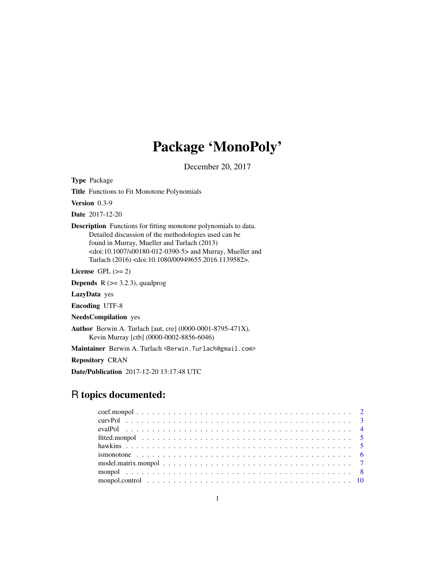## Package 'MonoPoly'

December 20, 2017

<span id="page-0-0"></span>Type Package

Title Functions to Fit Monotone Polynomials

Version 0.3-9

Date 2017-12-20

Description Functions for fitting monotone polynomials to data. Detailed discussion of the methodologies used can be found in Murray, Mueller and Turlach (2013) <doi:10.1007/s00180-012-0390-5> and Murray, Mueller and Turlach (2016) <doi:10.1080/00949655.2016.1139582>.

License GPL  $(>= 2)$ 

**Depends** R  $(>= 3.2.3)$ , quadprog

LazyData yes

Encoding UTF-8

NeedsCompilation yes

Author Berwin A. Turlach [aut, cre] (0000-0001-8795-471X), Kevin Murray [ctb] (0000-0002-8856-6046)

Maintainer Berwin A. Turlach <Berwin. Turlach@gmail.com>

Repository CRAN

Date/Publication 2017-12-20 13:17:48 UTC

## R topics documented: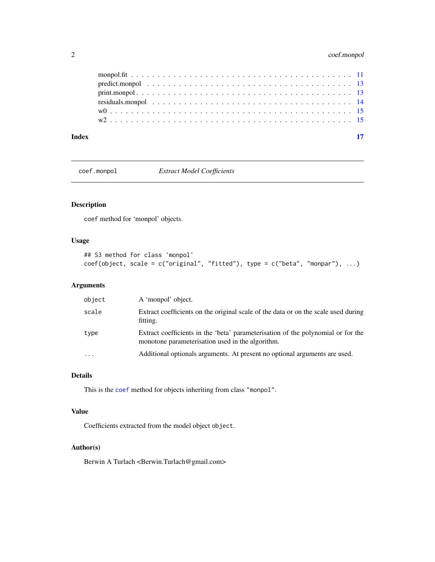## <span id="page-1-0"></span>2 coef.monpol

| Index |  |
|-------|--|
|       |  |
|       |  |
|       |  |
|       |  |
|       |  |
|       |  |

<span id="page-1-1"></span>coef.monpol *Extract Model Coefficients*

## Description

coef method for 'monpol' objects.

## Usage

```
## S3 method for class 'monpol'
coef(object, scale = c("original", "fitted"), type = c("beta", "monpar"), ...)
```
## Arguments

| object   | A 'monpol' object.                                                                                                                   |
|----------|--------------------------------------------------------------------------------------------------------------------------------------|
| scale    | Extract coefficients on the original scale of the data or on the scale used during<br>fitting.                                       |
| type     | Extract coefficients in the 'beta' parameterisation of the polynomial or for the<br>monotone parameterisation used in the algorithm. |
| $\ddots$ | Additional optionals arguments. At present no optional arguments are used.                                                           |

## Details

This is the [coef](#page-0-0) method for objects inheriting from class "monpol".

## Value

Coefficients extracted from the model object object.

## Author(s)

Berwin A Turlach <Berwin.Turlach@gmail.com>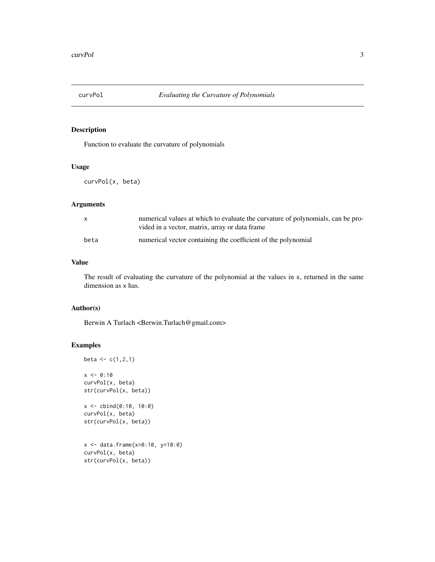<span id="page-2-0"></span>

Function to evaluate the curvature of polynomials

#### Usage

curvPol(x, beta)

## Arguments

|      | numerical values at which to evaluate the curvature of polynomials, can be pro- |
|------|---------------------------------------------------------------------------------|
|      | vided in a vector, matrix, array or data frame                                  |
| beta | numerical vector containing the coefficient of the polynomial                   |

#### Value

The result of evaluating the curvature of the polynomial at the values in x, returned in the same dimension as x has.

## Author(s)

Berwin A Turlach <Berwin.Turlach@gmail.com>

## Examples

```
beta <-c(1,2,1)x \le -0:10curvPol(x, beta)
str(curvPol(x, beta))
x <- cbind(0:10, 10:0)
curvPol(x, beta)
str(curvPol(x, beta))
x <- data.frame(x=0:10, y=10:0)
curvPol(x, beta)
str(curvPol(x, beta))
```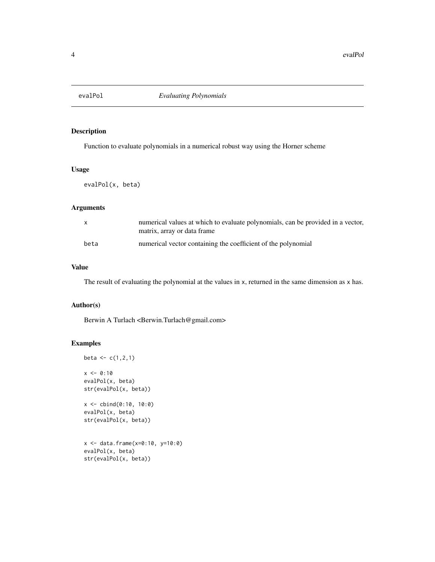<span id="page-3-0"></span>

Function to evaluate polynomials in a numerical robust way using the Horner scheme

#### Usage

evalPol(x, beta)

### Arguments

|      | numerical values at which to evaluate polynomials, can be provided in a vector,<br>matrix, array or data frame |
|------|----------------------------------------------------------------------------------------------------------------|
| beta | numerical vector containing the coefficient of the polynomial                                                  |

#### Value

The result of evaluating the polynomial at the values in x, returned in the same dimension as x has.

## Author(s)

Berwin A Turlach <Berwin.Turlach@gmail.com>

## Examples

```
beta <-c(1,2,1)x \le -0:10evalPol(x, beta)
str(evalPol(x, beta))
x <- cbind(0:10, 10:0)
evalPol(x, beta)
str(evalPol(x, beta))
x <- data.frame(x=0:10, y=10:0)
evalPol(x, beta)
str(evalPol(x, beta))
```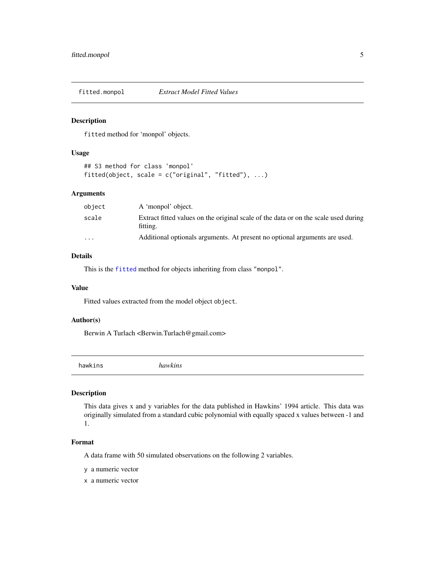<span id="page-4-0"></span>

fitted method for 'monpol' objects.

#### Usage

```
## S3 method for class 'monpol'
fitted(object, scale = c("original", "fitted"), ...)
```
## Arguments

| object | A 'monpol' object.                                                                              |
|--------|-------------------------------------------------------------------------------------------------|
| scale  | Extract fitted values on the original scale of the data or on the scale used during<br>fitting. |
| .      | Additional optionals arguments. At present no optional arguments are used.                      |

## Details

This is the [fitted](#page-0-0) method for objects inheriting from class "monpol".

#### Value

Fitted values extracted from the model object object.

## Author(s)

Berwin A Turlach <Berwin.Turlach@gmail.com>

hawkins *hawkins*

#### Description

This data gives x and y variables for the data published in Hawkins' 1994 article. This data was originally simulated from a standard cubic polynomial with equally spaced x values between -1 and 1.

#### Format

A data frame with 50 simulated observations on the following 2 variables.

y a numeric vector

x a numeric vector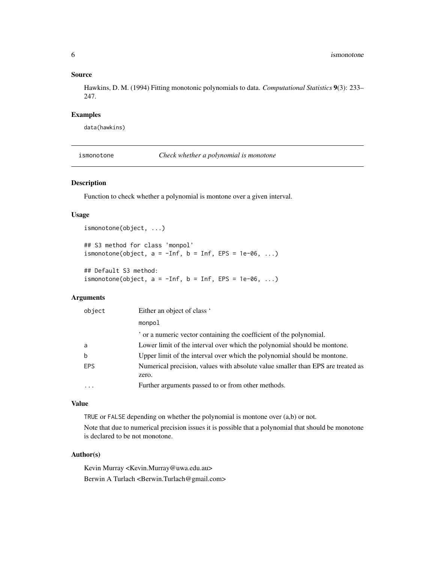#### Source

Hawkins, D. M. (1994) Fitting monotonic polynomials to data. *Computational Statistics* 9(3): 233– 247.

#### Examples

data(hawkins)

ismonotone *Check whether a polynomial is monotone*

## Description

Function to check whether a polynomial is montone over a given interval.

#### Usage

```
ismonotone(object, ...)
```
## S3 method for class 'monpol' ismonotone(object,  $a = -Inf$ ,  $b = Inf$ ,  $EPS = 1e-06$ , ...)

## Default S3 method: ismonotone(object,  $a = -Inf$ ,  $b = Inf$ , EPS = 1e-06, ...)

## Arguments

| object | Either an object of class '                                                              |
|--------|------------------------------------------------------------------------------------------|
|        | monpol                                                                                   |
|        | or a numeric vector containing the coefficient of the polynomial.                        |
| a      | Lower limit of the interval over which the polynomial should be montone.                 |
| b      | Upper limit of the interval over which the polynomial should be montone.                 |
| EPS    | Numerical precision, values with absolute value smaller than EPS are treated as<br>zero. |
|        | Further arguments passed to or from other methods.                                       |
|        |                                                                                          |

#### Value

TRUE or FALSE depending on whether the polynomial is montone over (a,b) or not.

Note that due to numerical precision issues it is possible that a polynomial that should be monotone is declared to be not monotone.

#### Author(s)

Kevin Murray <Kevin.Murray@uwa.edu.au> Berwin A Turlach <Berwin.Turlach@gmail.com>

<span id="page-5-0"></span>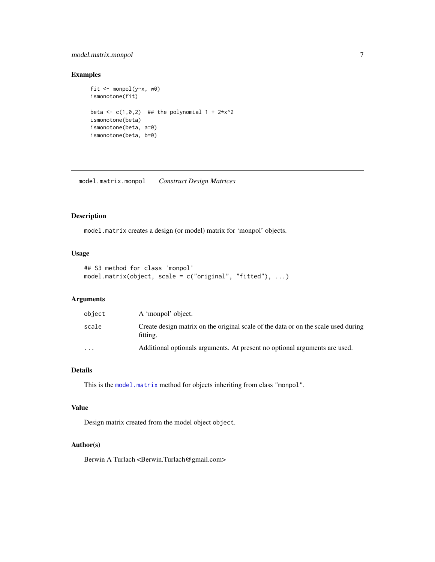## <span id="page-6-0"></span>model.matrix.monpol 7

## Examples

```
fit <- monpol(y~x, w0)
ismonotone(fit)
beta \leq c(1,0,2) ## the polynomial 1 + 2*x^2
ismonotone(beta)
ismonotone(beta, a=0)
ismonotone(beta, b=0)
```
model.matrix.monpol *Construct Design Matrices*

### Description

model.matrix creates a design (or model) matrix for 'monpol' objects.

## Usage

```
## S3 method for class 'monpol'
model.matrix(object, scale = c("original", "fitted"), ...)
```
## Arguments

| object                  | A 'monpol' object.                                                                             |
|-------------------------|------------------------------------------------------------------------------------------------|
| scale                   | Create design matrix on the original scale of the data or on the scale used during<br>fitting. |
| $\cdot$ $\cdot$ $\cdot$ | Additional optionals arguments. At present no optional arguments are used.                     |

## Details

This is the [model.matrix](#page-0-0) method for objects inheriting from class "monpol".

## Value

Design matrix created from the model object object.

## Author(s)

Berwin A Turlach <Berwin.Turlach@gmail.com>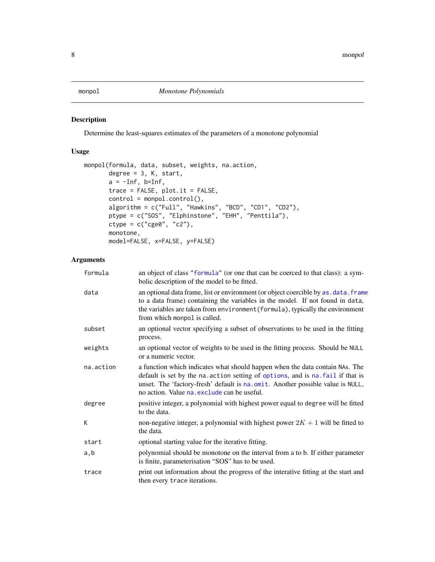<span id="page-7-1"></span><span id="page-7-0"></span>

Determine the least-squares estimates of the parameters of a monotone polynomial

## Usage

```
monpol(formula, data, subset, weights, na.action,
      degree = 3, K, start,
      a = -Inf, b=Inf,trace = FALSE, plot.it = FALSE,control = monpol.control(),
       algorithm = c("Full", "Hawkins", "BCD", "CD1", "CD2"),
       ptype = c("SOS", "Elphinstone", "EHH", "Penttila"),
       ctype = c("cge0", "c2"),monotone,
      model=FALSE, x=FALSE, y=FALSE)
```
## Arguments

| formula   | an object of class "formula" (or one that can be coerced to that class): a sym-<br>bolic description of the model to be fitted.                                                                                                                                                                  |
|-----------|--------------------------------------------------------------------------------------------------------------------------------------------------------------------------------------------------------------------------------------------------------------------------------------------------|
| data      | an optional data frame, list or environment (or object coercible by as . data. frame<br>to a data frame) containing the variables in the model. If not found in data,<br>the variables are taken from environment (formula), typically the environment<br>from which monpol is called.           |
| subset    | an optional vector specifying a subset of observations to be used in the fitting<br>process.                                                                                                                                                                                                     |
| weights   | an optional vector of weights to be used in the fitting process. Should be NULL<br>or a numeric vector.                                                                                                                                                                                          |
| na.action | a function which indicates what should happen when the data contain NAs. The<br>default is set by the na. action setting of options, and is na. fail if that is<br>unset. The 'factory-fresh' default is na.omit. Another possible value is NULL,<br>no action. Value na. exclude can be useful. |
| degree    | positive integer, a polynomial with highest power equal to degree will be fitted<br>to the data.                                                                                                                                                                                                 |
| K         | non-negative integer, a polynomial with highest power $2K + 1$ will be fitted to<br>the data.                                                                                                                                                                                                    |
| start     | optional starting value for the iterative fitting.                                                                                                                                                                                                                                               |
| a,b       | polynomial should be monotone on the interval from a to b. If either parameter<br>is finite, parameterisation "SOS" has to be used.                                                                                                                                                              |
| trace     | print out information about the progress of the interative fitting at the start and<br>then every trace iterations.                                                                                                                                                                              |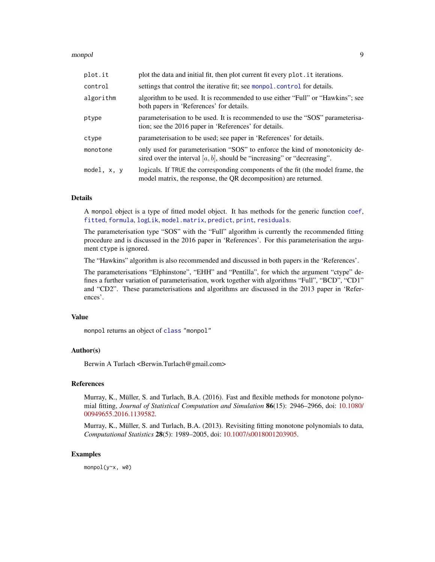#### <span id="page-8-0"></span>monpol 9

| plot.it       | plot the data and initial fit, then plot current fit every plot it iterations.                                                                             |
|---------------|------------------------------------------------------------------------------------------------------------------------------------------------------------|
| control       | settings that control the iterative fit; see monpol. control for details.                                                                                  |
| algorithm     | algorithm to be used. It is recommended to use either "Full" or "Hawkins"; see<br>both papers in 'References' for details.                                 |
| ptype         | parameterisation to be used. It is recommended to use the "SOS" parameterisa-<br>tion; see the 2016 paper in 'References' for details.                     |
| ctype         | parameterisation to be used; see paper in 'References' for details.                                                                                        |
| monotone      | only used for parameterisation "SOS" to enforce the kind of monotonicity de-<br>sired over the interval $[a, b]$ , should be "increasing" or "decreasing". |
| model, $x, y$ | logicals. If TRUE the corresponding components of the fit (the model frame, the<br>model matrix, the response, the QR decomposition) are returned.         |

#### Details

A monpol object is a type of fitted model object. It has methods for the generic function [coef](#page-0-0), [fitted](#page-0-0), [formula](#page-0-0), [logLik](#page-0-0), [model.matrix](#page-0-0), [predict](#page-0-0), [print](#page-0-0), [residuals](#page-0-0).

The parameterisation type "SOS" with the "Full" algorithm is currently the recommended fitting procedure and is discussed in the 2016 paper in 'References'. For this parameterisation the argument ctype is ignored.

The "Hawkins" algorithm is also recommended and discussed in both papers in the 'References'.

The parameterisations "Elphinstone", "EHH" and "Pentilla", for which the argument "ctype" defines a further variation of parameterisation, work together with algorithms "Full", "BCD", "CD1" and "CD2". These parameterisations and algorithms are discussed in the 2013 paper in 'References'.

## Value

monpol returns an object of [class](#page-0-0) "monpol"

## Author(s)

Berwin A Turlach <Berwin.Turlach@gmail.com>

#### References

Murray, K., Müller, S. and Turlach, B.A. (2016). Fast and flexible methods for monotone polynomial fitting, *Journal of Statistical Computation and Simulation* 86(15): 2946–2966, doi: [10.1080/](http://doi.org/10.1080/00949655.2016.1139582) [00949655.2016.1139582.](http://doi.org/10.1080/00949655.2016.1139582)

Murray, K., Müller, S. and Turlach, B.A. (2013). Revisiting fitting monotone polynomials to data, *Computational Statistics* 28(5): 1989–2005, doi: [10.1007/s0018001203905.](http://doi.org/10.1007/s00180-012-0390-5)

#### Examples

monpol(y~x, w0)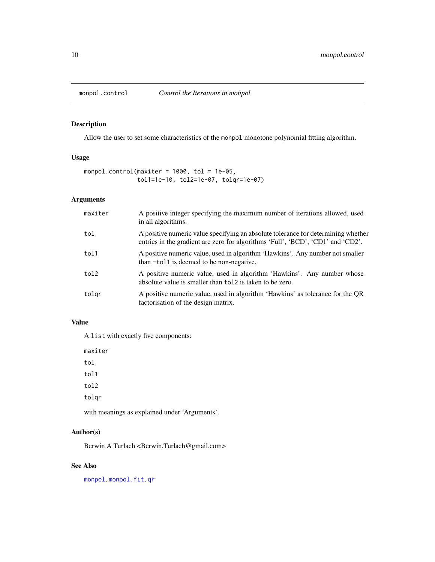<span id="page-9-1"></span><span id="page-9-0"></span>

Allow the user to set some characteristics of the monpol monotone polynomial fitting algorithm.

#### Usage

```
monpol.control(maxiter = 1000, tol = 1e-05,
              tol1=1e-10, tol2=1e-07, tolqr=1e-07)
```
## Arguments

| maxiter | A positive integer specifying the maximum number of iterations allowed, used<br>in all algorithms.                                                                   |
|---------|----------------------------------------------------------------------------------------------------------------------------------------------------------------------|
| tol     | A positive numeric value specifying an absolute tolerance for determining whether<br>entries in the gradient are zero for algorithms 'Full', 'BCD', 'CD1' and 'CD2'. |
| tol1    | A positive numeric value, used in algorithm 'Hawkins'. Any number not smaller<br>than -tol1 is deemed to be non-negative.                                            |
| tol2    | A positive numeric value, used in algorithm 'Hawkins'. Any number whose<br>absolute value is smaller than to 12 is taken to be zero.                                 |
| tolgr   | A positive numeric value, used in algorithm 'Hawkins' as tolerance for the QR<br>factorisation of the design matrix.                                                 |

#### Value

A list with exactly five components:

maxiter tol tol1 tol2 tolqr

with meanings as explained under 'Arguments'.

## Author(s)

Berwin A Turlach <Berwin.Turlach@gmail.com>

## See Also

[monpol](#page-7-1), [monpol.fit](#page-10-1), [qr](#page-0-0)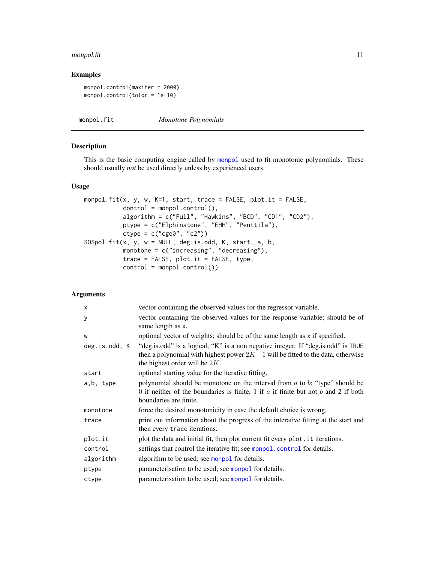## <span id="page-10-0"></span>monpol.fit 11

## Examples

monpol.control(maxiter = 2000) monpol.control(tolqr = 1e-10)

<span id="page-10-1"></span>monpol.fit *Monotone Polynomials*

### Description

This is the basic computing engine called by [monpol](#page-7-1) used to fit monotonic polynomials. These should usually *not* be used directly unless by experienced users.

## Usage

```
monpol.fit(x, y, w, K=1, start, trace = FALSE, plot.it = FALSE,
           control = monpol.control(),
           algorithm = c("Full", "Hawkins", "BCD", "CD1", "CD2"),
          ptype = c("Elphinstone", "EHH", "Penttila"),
           ctype = c("cge0", "c2"))SOSpol.fit(x, y, w = NULL, deg.is.odd, K, start, a, b,
          monotone = c("increasing", "decreasing"),
           trace = FALSE, plot.it = FALSE, type,
          control = monpol.control()
```
## Arguments

| X             | vector containing the observed values for the regressor variable.                                                                                                                                          |
|---------------|------------------------------------------------------------------------------------------------------------------------------------------------------------------------------------------------------------|
| У             | vector containing the observed values for the response variable; should be of<br>same length as x.                                                                                                         |
| W             | optional vector of weights; should be of the same length as x if specified.                                                                                                                                |
| deg.is.odd, K | "deg.is.odd" is a logical, "K" is a non negative integer. If "deg.is.odd" is TRUE<br>then a polynomial with highest power $2K+1$ will be fitted to the data, otherwise<br>the highest order will be $2K$ . |
| start         | optional starting value for the iterative fitting.                                                                                                                                                         |
| a,b, type     | polynomial should be monotone on the interval from $a$ to $b$ ; "type" should be<br>0 if neither of the boundaries is finite, 1 if $a$ if finite but not $b$ and 2 if both<br>boundaries are finite.       |
| monotone      | force the desired monotonicity in case the default choice is wrong.                                                                                                                                        |
| trace         | print out information about the progress of the interative fitting at the start and<br>then every trace iterations.                                                                                        |
| plot.it       | plot the data and initial fit, then plot current fit every plot it iterations.                                                                                                                             |
| control       | settings that control the iterative fit; see monpol. control for details.                                                                                                                                  |
| algorithm     | algorithm to be used; see monpol for details.                                                                                                                                                              |
| ptype         | parameterisation to be used; see monpol for details.                                                                                                                                                       |
| ctype         | parameterisation to be used; see monpol for details.                                                                                                                                                       |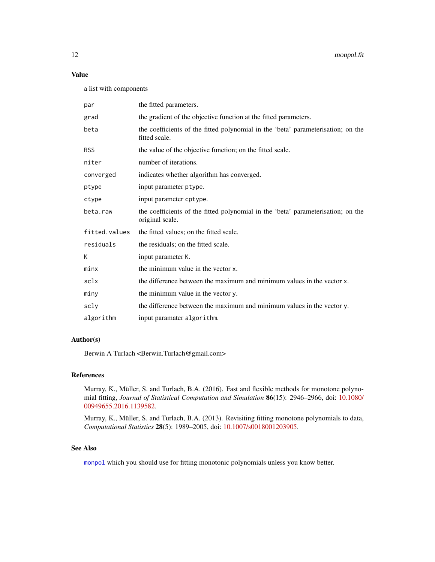## <span id="page-11-0"></span>Value

a list with components

| par           | the fitted parameters.                                                                              |
|---------------|-----------------------------------------------------------------------------------------------------|
| grad          | the gradient of the objective function at the fitted parameters.                                    |
| beta          | the coefficients of the fitted polynomial in the 'beta' parameterisation; on the<br>fitted scale.   |
| RSS           | the value of the objective function; on the fitted scale.                                           |
| niter         | number of iterations.                                                                               |
| converged     | indicates whether algorithm has converged.                                                          |
| ptype         | input parameter ptype.                                                                              |
| ctype         | input parameter cptype.                                                                             |
| beta.raw      | the coefficients of the fitted polynomial in the 'beta' parameterisation; on the<br>original scale. |
| fitted.values | the fitted values; on the fitted scale.                                                             |
| residuals     | the residuals; on the fitted scale.                                                                 |
| K             | input parameter K.                                                                                  |
| minx          | the minimum value in the vector x.                                                                  |
| sclx          | the difference between the maximum and minimum values in the vector x.                              |
| miny          | the minimum value in the vector y.                                                                  |
| scly          | the difference between the maximum and minimum values in the vector y.                              |
| algorithm     | input paramater algorithm.                                                                          |

### Author(s)

Berwin A Turlach <Berwin.Turlach@gmail.com>

#### References

Murray, K., Müller, S. and Turlach, B.A. (2016). Fast and flexible methods for monotone polynomial fitting, *Journal of Statistical Computation and Simulation* 86(15): 2946–2966, doi: [10.1080/](http://doi.org/10.1080/00949655.2016.1139582) [00949655.2016.1139582.](http://doi.org/10.1080/00949655.2016.1139582)

Murray, K., Müller, S. and Turlach, B.A. (2013). Revisiting fitting monotone polynomials to data, *Computational Statistics* 28(5): 1989–2005, doi: [10.1007/s0018001203905.](http://doi.org/10.1007/s00180-012-0390-5)

## See Also

[monpol](#page-7-1) which you should use for fitting monotonic polynomials unless you know better.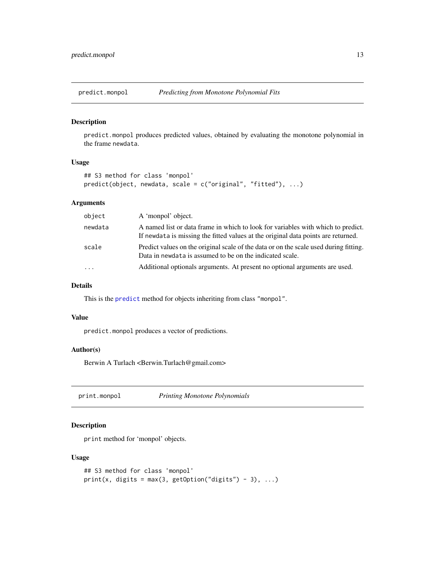<span id="page-12-0"></span>

predict.monpol produces predicted values, obtained by evaluating the monotone polynomial in the frame newdata.

#### Usage

```
## S3 method for class 'monpol'
predict(object, newdata, scale = c("original", "fitted"), ...)
```
## Arguments

| object   | A 'monpol' object.                                                                                                                                                    |
|----------|-----------------------------------------------------------------------------------------------------------------------------------------------------------------------|
| newdata  | A named list or data frame in which to look for variables with which to predict.<br>If newdata is missing the fitted values at the original data points are returned. |
| scale    | Predict values on the original scale of the data or on the scale used during fitting.<br>Data in newdata is assumed to be on the indicated scale.                     |
| $\cdots$ | Additional optionals arguments. At present no optional arguments are used.                                                                                            |

## Details

This is the [predict](#page-0-0) method for objects inheriting from class "monpol".

#### Value

predict.monpol produces a vector of predictions.

## Author(s)

Berwin A Turlach <Berwin.Turlach@gmail.com>

print.monpol *Printing Monotone Polynomials*

## Description

print method for 'monpol' objects.

## Usage

```
## S3 method for class 'monpol'
print(x, digits = max(3, getOption("digits") - 3), ...)
```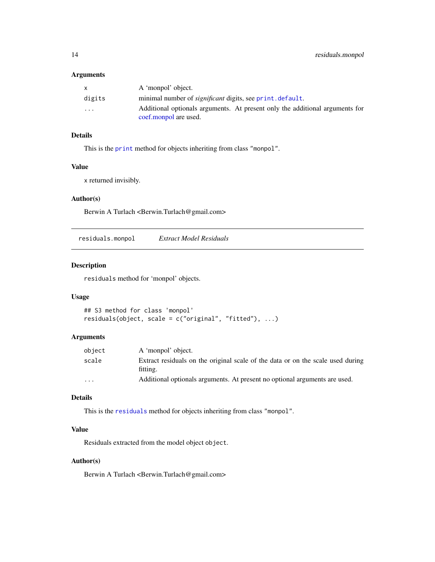#### <span id="page-13-0"></span>Arguments

|                         | A 'monpol' object.                                                           |
|-------------------------|------------------------------------------------------------------------------|
| digits                  | minimal number of <i>significant</i> digits, see print. default.             |
| $\cdot$ $\cdot$ $\cdot$ | Additional optionals arguments. At present only the additional arguments for |
|                         | coef.monpol are used.                                                        |

## Details

This is the [print](#page-0-0) method for objects inheriting from class "monpol".

## Value

x returned invisibly.

## Author(s)

Berwin A Turlach <Berwin.Turlach@gmail.com>

residuals.monpol *Extract Model Residuals*

## Description

residuals method for 'monpol' objects.

## Usage

```
## S3 method for class 'monpol'
residuals(object, scale = c("original", "fitted"), ...)
```
#### Arguments

| object  | A 'monpol' object.                                                                          |
|---------|---------------------------------------------------------------------------------------------|
| scale   | Extract residuals on the original scale of the data or on the scale used during<br>fitting. |
| $\cdot$ | Additional optionals arguments. At present no optional arguments are used.                  |

## Details

This is the [residuals](#page-0-0) method for objects inheriting from class "monpol".

## Value

Residuals extracted from the model object object.

## Author(s)

Berwin A Turlach <Berwin.Turlach@gmail.com>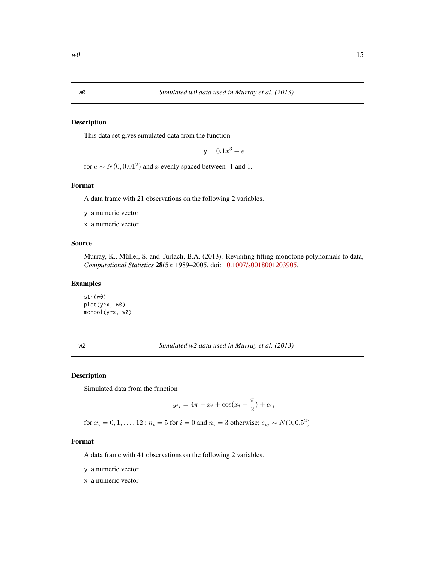<span id="page-14-0"></span>

This data set gives simulated data from the function

 $y = 0.1x^3 + e$ 

for  $e \sim N(0, 0.01^2)$  and x evenly spaced between -1 and 1.

#### Format

A data frame with 21 observations on the following 2 variables.

y a numeric vector

x a numeric vector

#### Source

Murray, K., Müller, S. and Turlach, B.A. (2013). Revisiting fitting monotone polynomials to data, *Computational Statistics* 28(5): 1989–2005, doi: [10.1007/s0018001203905.](http://doi.org/10.1007/s00180-012-0390-5)

#### Examples

str(w0) plot(y~x, w0) monpol(y~x, w0)

w2 *Simulated w2 data used in Murray et al. (2013)*

#### Description

Simulated data from the function

$$
y_{ij} = 4\pi - x_i + \cos(x_i - \frac{\pi}{2}) + e_{ij}
$$

for  $x_i = 0, 1, ..., 12$ ;  $n_i = 5$  for  $i = 0$  and  $n_i = 3$  otherwise;  $e_{ij} \sim N(0, 0.5^2)$ 

#### Format

A data frame with 41 observations on the following 2 variables.

y a numeric vector

x a numeric vector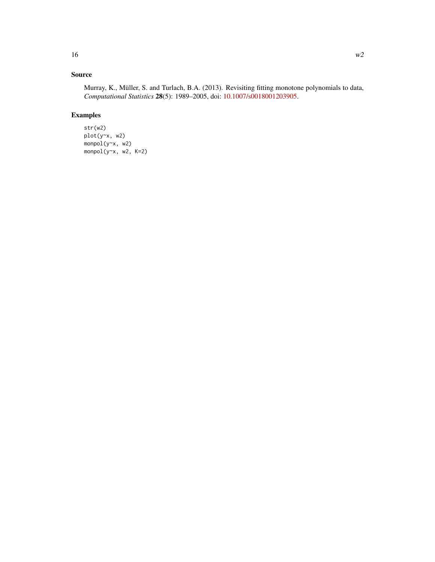## Source

Murray, K., Müller, S. and Turlach, B.A. (2013). Revisiting fitting monotone polynomials to data, *Computational Statistics* 28(5): 1989–2005, doi: [10.1007/s0018001203905.](http://doi.org/10.1007/s00180-012-0390-5)

## Examples

str(w2) plot(y~x, w2) monpol(y~x, w2) monpol(y~x, w2, K=2)